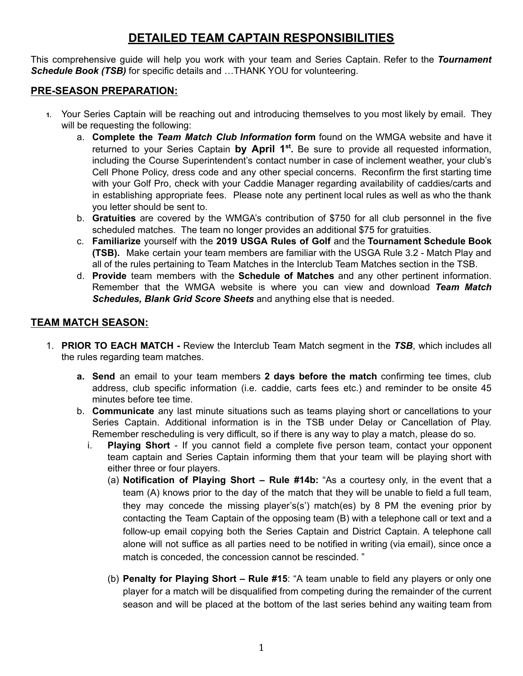## **DETAILED TEAM CAPTAIN RESPONSIBILITIES**

This comprehensive guide will help you work with your team and Series Captain. Refer to the *Tournament Schedule Book (TSB)* for specific details and …THANK YOU for volunteering.

## **PRE-SEASON PREPARATION:**

- **1.** Your Series Captain will be reaching out and introducing themselves to you most likely by email. They will be requesting the following:
	- a. **Complete the** *Team Match Club Information* **form** found on the WMGA website and have it returned to your Series Captain by April 1<sup>st</sup>. Be sure to provide all requested information, including the Course Superintendent's contact number in case of inclement weather, your club's Cell Phone Policy, dress code and any other special concerns. Reconfirm the first starting time with your Golf Pro, check with your Caddie Manager regarding availability of caddies/carts and in establishing appropriate fees. Please note any pertinent local rules as well as who the thank you letter should be sent to.
	- b. **Gratuities** are covered by the WMGA's contribution of \$750 for all club personnel in the five scheduled matches. The team no longer provides an additional \$75 for gratuities.
	- c. **Familiarize** yourself with the **2019 USGA Rules of Golf** and the **Tournament Schedule Book (TSB).** Make certain your team members are familiar with the USGA Rule 3.2 - Match Play and all of the rules pertaining to Team Matches in the Interclub Team Matches section in the TSB.
	- d. **Provide** team members with the **Schedule of Matches** and any other pertinent information. Remember that the WMGA website is where you can view and download *Team Match Schedules, Blank Grid Score Sheets* and anything else that is needed.

## **TEAM MATCH SEASON:**

- 1. **PRIOR TO EACH MATCH -** Review the Interclub Team Match segment in the *TSB*, which includes all the rules regarding team matches.
	- **a. Send** an email to your team members **2 days before the match** confirming tee times, club address, club specific information (i.e. caddie, carts fees etc.) and reminder to be onsite 45 minutes before tee time.
	- b. **Communicate** any last minute situations such as teams playing short or cancellations to your Series Captain. Additional information is in the TSB under Delay or Cancellation of Play. Remember rescheduling is very difficult, so if there is any way to play a match, please do so.
		- i. **Playing Short** If you cannot field a complete five person team, contact your opponent team captain and Series Captain informing them that your team will be playing short with either three or four players.
			- (a) **Notification of Playing Short – Rule #14b:** "As a courtesy only, in the event that a team (A) knows prior to the day of the match that they will be unable to field a full team, they may concede the missing player's(s') match(es) by 8 PM the evening prior by contacting the Team Captain of the opposing team (B) with a telephone call or text and a follow-up email copying both the Series Captain and District Captain. A telephone call alone will not suffice as all parties need to be notified in writing (via email), since once a match is conceded, the concession cannot be rescinded. "
			- (b) **Penalty for Playing Short – Rule #15**: "A team unable to field any players or only one player for a match will be disqualified from competing during the remainder of the current season and will be placed at the bottom of the last series behind any waiting team from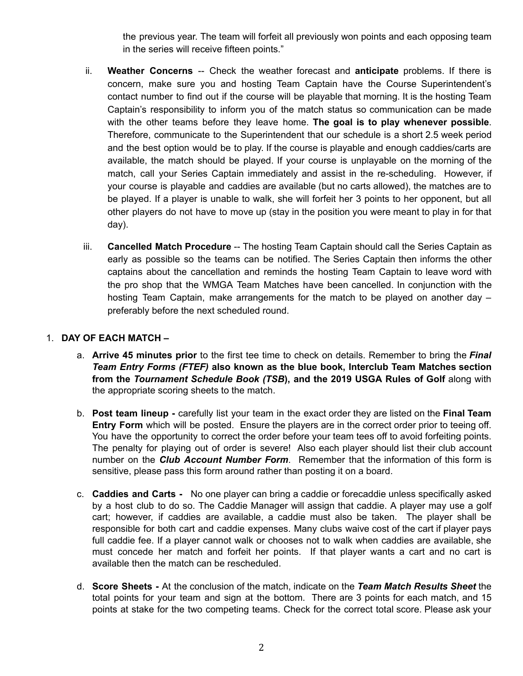the previous year. The team will forfeit all previously won points and each opposing team in the series will receive fifteen points."

- ii. **Weather Concerns** -- Check the weather forecast and **anticipate** problems. If there is concern, make sure you and hosting Team Captain have the Course Superintendent's contact number to find out if the course will be playable that morning. It is the hosting Team Captain's responsibility to inform you of the match status so communication can be made with the other teams before they leave home. **The goal is to play whenever possible**. Therefore, communicate to the Superintendent that our schedule is a short 2.5 week period and the best option would be to play. If the course is playable and enough caddies/carts are available, the match should be played. If your course is unplayable on the morning of the match, call your Series Captain immediately and assist in the re-scheduling. However, if your course is playable and caddies are available (but no carts allowed), the matches are to be played. If a player is unable to walk, she will forfeit her 3 points to her opponent, but all other players do not have to move up (stay in the position you were meant to play in for that day).
- iii. **Cancelled Match Procedure** -- The hosting Team Captain should call the Series Captain as early as possible so the teams can be notified. The Series Captain then informs the other captains about the cancellation and reminds the hosting Team Captain to leave word with the pro shop that the WMGA Team Matches have been cancelled. In conjunction with the hosting Team Captain, make arrangements for the match to be played on another day – preferably before the next scheduled round.

## 1. **DAY OF EACH MATCH –**

- a. **Arrive 45 minutes prior** to the first tee time to check on details. Remember to bring the *Final Team Entry Forms (FTEF)* **also known as the blue book, Interclub Team Matches section from the** *Tournament Schedule Book (TSB***), and the 2019 USGA Rules of Golf** along with the appropriate scoring sheets to the match.
- b. **Post team lineup -** carefully list your team in the exact order they are listed on the **Final Team Entry Form** which will be posted. Ensure the players are in the correct order prior to teeing off. You have the opportunity to correct the order before your team tees off to avoid forfeiting points. The penalty for playing out of order is severe! Also each player should list their club account number on the *Club Account Number Form*. Remember that the information of this form is sensitive, please pass this form around rather than posting it on a board.
- c. **Caddies and Carts -** No one player can bring a caddie or forecaddie unless specifically asked by a host club to do so. The Caddie Manager will assign that caddie. A player may use a golf cart; however, if caddies are available, a caddie must also be taken. The player shall be responsible for both cart and caddie expenses. Many clubs waive cost of the cart if player pays full caddie fee. If a player cannot walk or chooses not to walk when caddies are available, she must concede her match and forfeit her points. If that player wants a cart and no cart is available then the match can be rescheduled.
- d. **Score Sheets -** At the conclusion of the match, indicate on the *Team Match Results Sheet* the total points for your team and sign at the bottom. There are 3 points for each match, and 15 points at stake for the two competing teams. Check for the correct total score. Please ask your